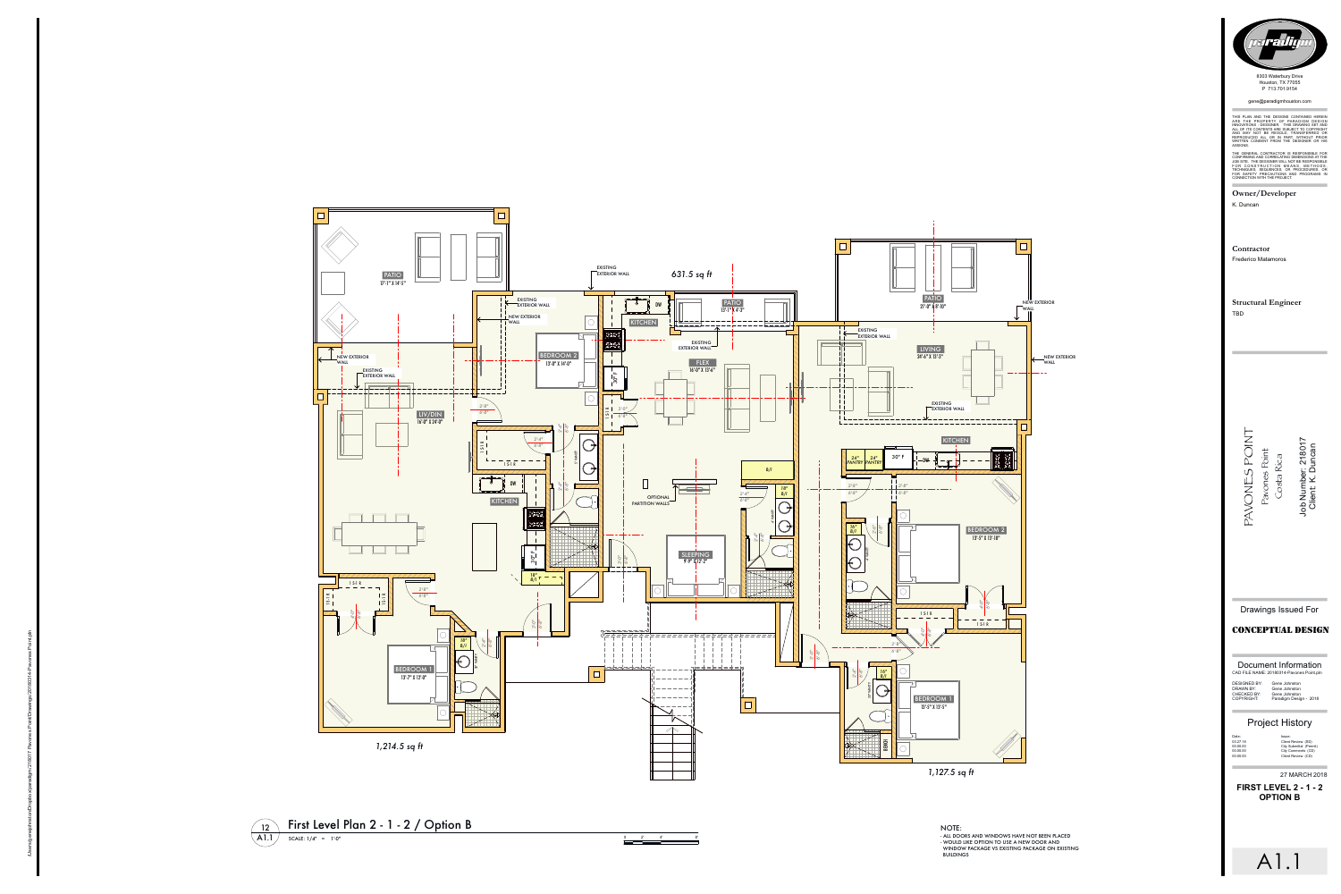|                                           | Document Information |
|-------------------------------------------|----------------------|
| CAD FILE NAME: 20180314-Pavones Point.pln |                      |

DESIGNED BY: Gene Johnston DRAWN BY: CHECKED BY: COPYRIGHT:

Gene Johnston Gene Johnston Paradigm Design - 2018

## **Project History**

Date  $03.27.18$ <br>00.00.00<br>00.00.00<br>00.00.00

Issue: Client Review (SD)<br>City Submittal (Permit) City Comments (CD)<br>Client Review (CD)

27 MARCH 2018

**FIRST LEVEL 2 - 1 - 2**

A1.1

- ALL DOORS AND WINDOWS HAVE NOT BEEN PLACED - WOULD LIKE OPTION TO USE A NEW DOOR AND
- WINDOW PACKAGE VS EXISTING PACKAGE ON EXISTING **BUILDINGS**





0 2 ' 4 ' 8



P 713.701.9154 gene@paradigmhouston.com

THIS PLAN AND THE DESIGNS CONTAINED HEREIN ARE THE PROPERTY OF PARADIGM DESIGN<br>INNOVATIONS : DESIGNER. THIS DRAWING SET AND<br>ALL OF ITS CONTENTS ARE SUBJECT TO COPYRIGHT<br>AND MAY NOT BE RESOLD, TRANSFERRED OR<br>REPRODUCED ALL OR IN PART, WITHOUT PRIOR<br>WRITTEN CONSENT F ASSIGNS. anon Marina Contractor<br>
Pous Representation on the state of the state of the state of the state of the state of the state of the state of the state of the state of the state of the state of the state of the state of the

THE GENERAL CONTRACTOR IS RESPONSIBLE FOR<br>CONFIRMING AND CORRELATING DIMENSIONS AT THE<br>JOB SITE. THE DESIGNER WILL NOT BE RESPONSIBLE<br>FOR CONSTRUCTION MEANS, METHODS,<br>TECHNIQUES, SEQUENCES, OR PROCEDURES, OR<br>FOR SAFETY PRE

Owner/Developer K. Duncan

**Contract Contract** 

Contractor **Frederico Matamoros** 

**Structural Engineer TBD** 

AVONES POINT<br>Pavones Point<br>Costa Rica<br>Job Number: 218017<br>Client: K. Duncan

**Drawings Issued For** 

## **CONCEPTUAL DESIGN**